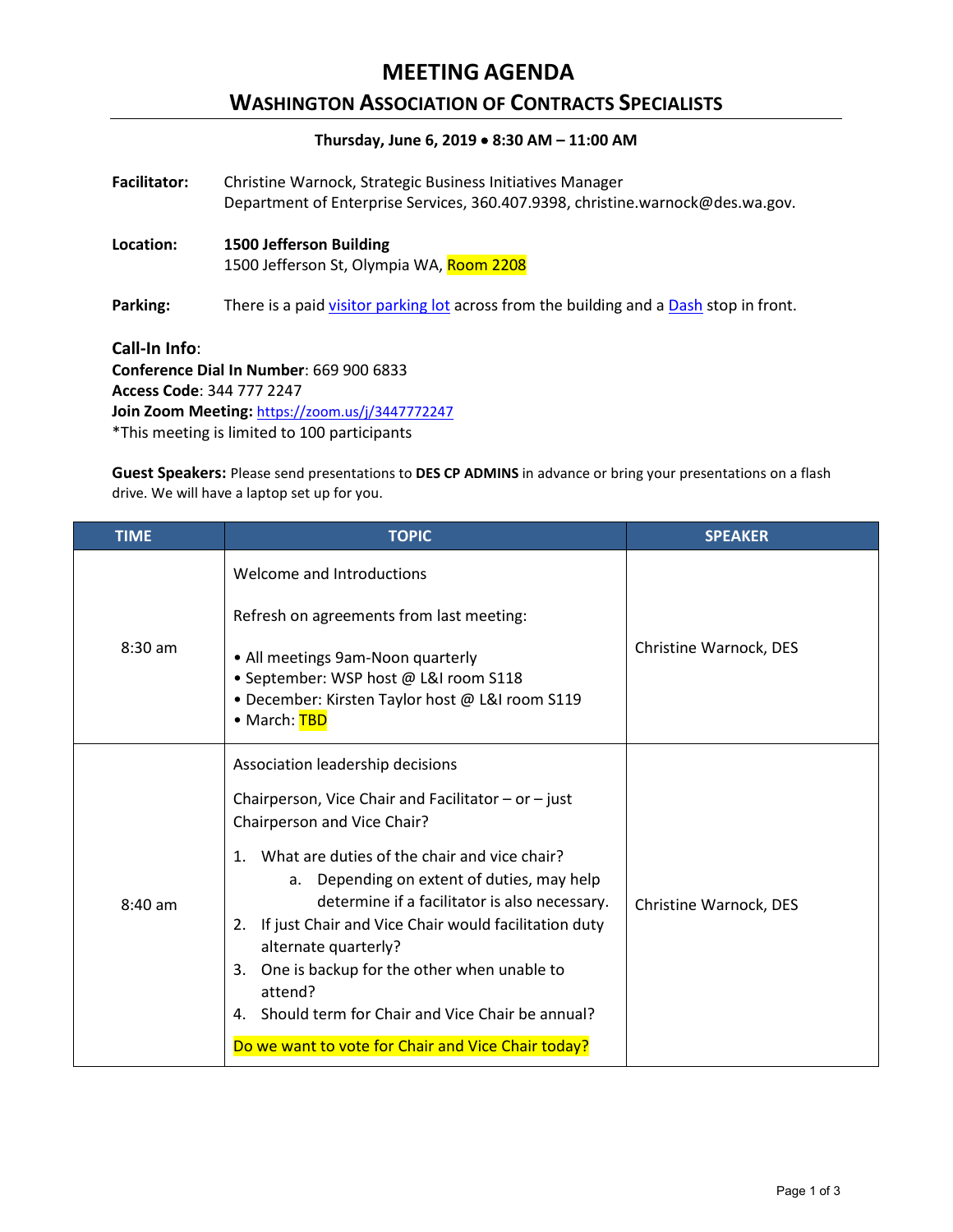## **MEETING AGENDA**

## **WASHINGTON ASSOCIATION OF CONTRACTS SPECIALISTS**

### **Thursday, June 6, 2019** • **8:30 AM – 11:00 AM**

| <b>Facilitator:</b> | Christine Warnock, Strategic Business Initiatives Manager<br>Department of Enterprise Services, 360.407.9398, christine.warnock@des.wa.gov. |
|---------------------|---------------------------------------------------------------------------------------------------------------------------------------------|
| Location:           | <b>1500 Jefferson Building</b><br>1500 Jefferson St, Olympia WA, Room 2208                                                                  |
| Parking:            | There is a paid visitor parking lot across from the building and a Dash stop in front.                                                      |
| Call-In Info:       | Conference Dial In Number: 669 900 6833                                                                                                     |

**Conference Dial In Number**: 669 900 6833 **Access Code**: 344 777 2247 **Join Zoom Meeting:** <https://zoom.us/j/3447772247> \*This meeting is limited to 100 participants

**Guest Speakers:** Please send presentations to **DES CP ADMINS** in advance or bring your presentations on a flash drive. We will have a laptop set up for you.

| <b>TIME</b> | <b>TOPIC</b>                                                                                                                                                                                                                                                                                                                                                                                                                                                                                                        | <b>SPEAKER</b>         |
|-------------|---------------------------------------------------------------------------------------------------------------------------------------------------------------------------------------------------------------------------------------------------------------------------------------------------------------------------------------------------------------------------------------------------------------------------------------------------------------------------------------------------------------------|------------------------|
| $8:30$ am   | Welcome and Introductions<br>Refresh on agreements from last meeting:<br>• All meetings 9am-Noon quarterly<br>· September: WSP host @ L&I room S118<br>• December: Kirsten Taylor host @ L&I room S119<br>• March: TBD                                                                                                                                                                                                                                                                                              | Christine Warnock, DES |
| $8:40$ am   | Association leadership decisions<br>Chairperson, Vice Chair and Facilitator $-$ or $-$ just<br>Chairperson and Vice Chair?<br>What are duties of the chair and vice chair?<br>$\mathbf{1}$ .<br>Depending on extent of duties, may help<br>a.<br>determine if a facilitator is also necessary.<br>2. If just Chair and Vice Chair would facilitation duty<br>alternate quarterly?<br>One is backup for the other when unable to<br>3.<br>attend?<br>Should term for Chair and Vice Chair be annual?<br>$\mathbf{A}$ | Christine Warnock, DES |
|             | Do we want to vote for Chair and Vice Chair today?                                                                                                                                                                                                                                                                                                                                                                                                                                                                  |                        |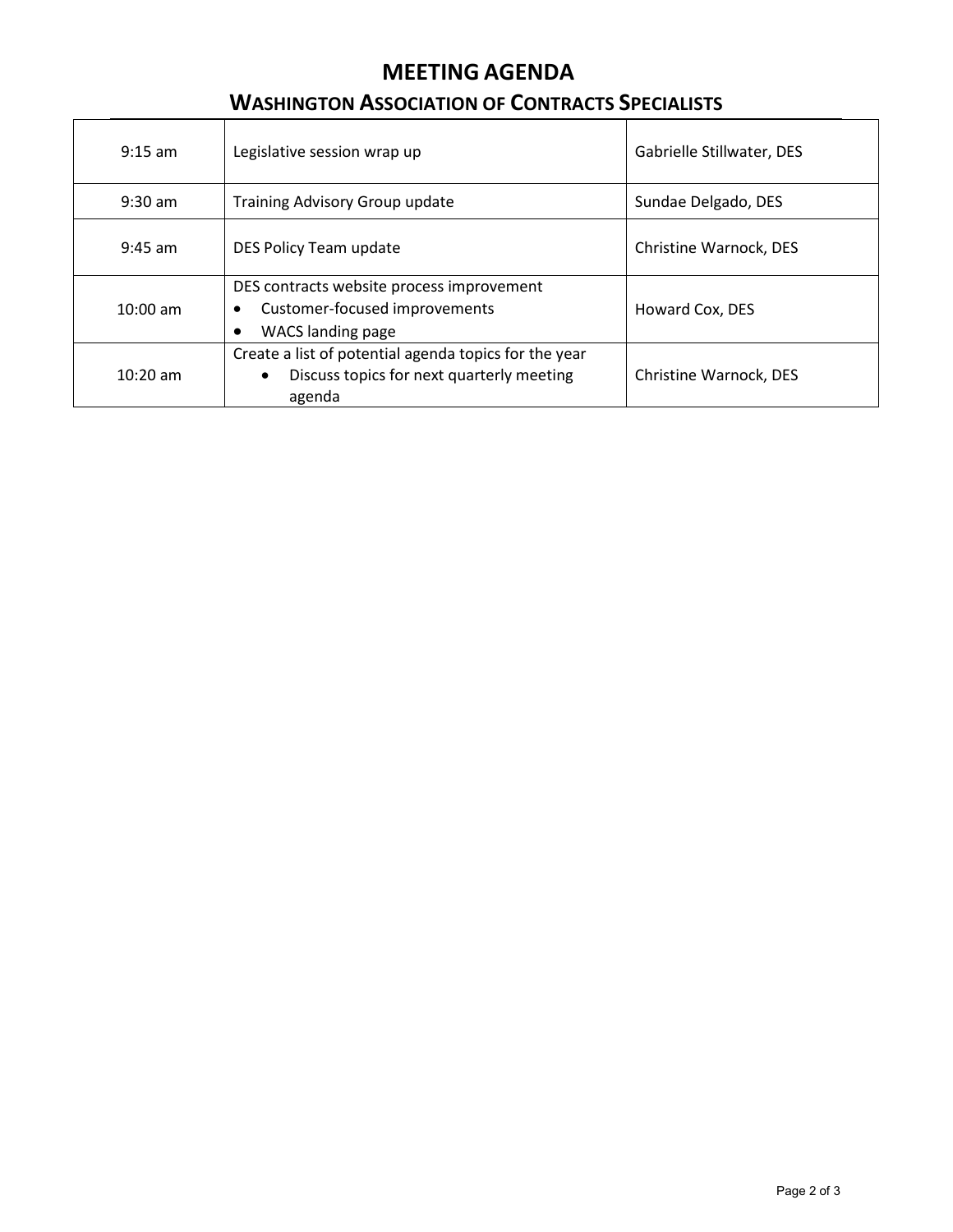# **MEETING AGENDA**

## **WASHINGTON ASSOCIATION OF CONTRACTS SPECIALISTS**

| $9:15 \text{ am}$ | Legislative session wrap up                                                                                                            | Gabrielle Stillwater, DES |
|-------------------|----------------------------------------------------------------------------------------------------------------------------------------|---------------------------|
| $9:30 \text{ am}$ | Training Advisory Group update                                                                                                         | Sundae Delgado, DES       |
| $9:45$ am         | DES Policy Team update                                                                                                                 | Christine Warnock, DES    |
| $10:00$ am        | DES contracts website process improvement<br>Customer-focused improvements<br>$\bullet$<br><b>WACS</b> landing page<br>٠               | Howard Cox, DES           |
| $10:20$ am        | Create a list of potential agenda topics for the year<br>Discuss topics for next quarterly meeting<br>Christine Warnock, DES<br>agenda |                           |